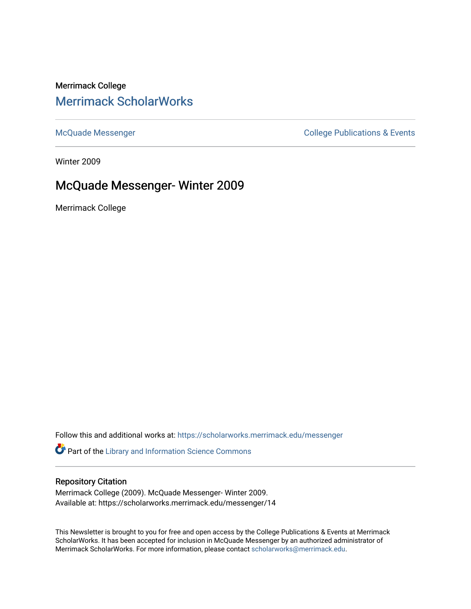## Merrimack College [Merrimack ScholarWorks](https://scholarworks.merrimack.edu/)

[McQuade Messenger](https://scholarworks.merrimack.edu/messenger) College Publications & Events

Winter 2009

# McQuade Messenger- Winter 2009

Merrimack College

Follow this and additional works at: [https://scholarworks.merrimack.edu/messenger](https://scholarworks.merrimack.edu/messenger?utm_source=scholarworks.merrimack.edu%2Fmessenger%2F14&utm_medium=PDF&utm_campaign=PDFCoverPages) 

Part of the [Library and Information Science Commons](http://network.bepress.com/hgg/discipline/1018?utm_source=scholarworks.merrimack.edu%2Fmessenger%2F14&utm_medium=PDF&utm_campaign=PDFCoverPages) 

#### Repository Citation

Merrimack College (2009). McQuade Messenger- Winter 2009. Available at: https://scholarworks.merrimack.edu/messenger/14

This Newsletter is brought to you for free and open access by the College Publications & Events at Merrimack ScholarWorks. It has been accepted for inclusion in McQuade Messenger by an authorized administrator of Merrimack ScholarWorks. For more information, please contact [scholarworks@merrimack.edu](mailto:scholarworks@merrimack.edu).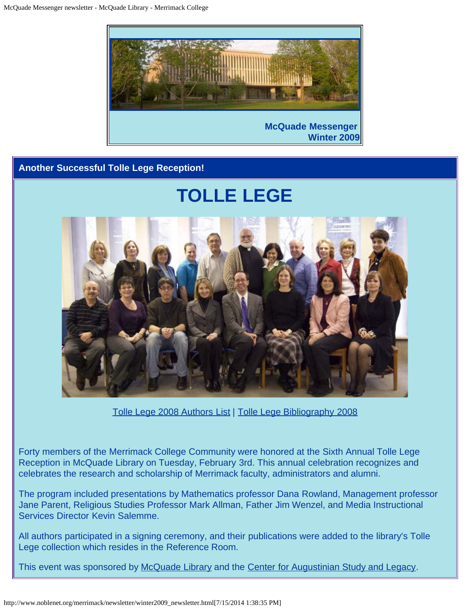

## **Another Successful Tolle Lege Reception!**



[Tolle Lege 2008 Authors List](http://www.noblenet.org/merrimack/booklists/2008tlauthors.htm) | [Tolle Lege Bibliography 2008](http://www.noblenet.org/merrimack/booklists/tl2008.htm)

Forty members of the Merrimack College Community were honored at the Sixth Annual Tolle Lege Reception in McQuade Library on Tuesday, February 3rd. This annual celebration recognizes and celebrates the research and scholarship of Merrimack faculty, administrators and alumni.

The program included presentations by Mathematics professor Dana Rowland, Management professor Jane Parent, Religious Studies Professor Mark Allman, Father Jim Wenzel, and Media Instructional Services Director Kevin Salemme.

All authors participated in a signing ceremony, and their publications were added to the library's Tolle Lege collection which resides in the Reference Room.

This event was sponsored by [McQuade Library](http://www.noblenet.org/merrimack/) and the [Center for Augustinian Study and Legacy](http://www.merrimack.edu/academics/CenterAugustinianStudyLegacy/Pages/default.aspx).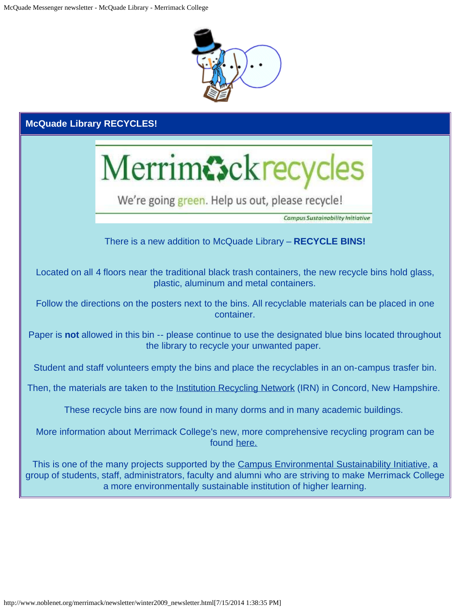

| <b>McQuade Library RECYCLES!</b>                                                                                                                                                                                                                                                     |                                                                       |  |  |
|--------------------------------------------------------------------------------------------------------------------------------------------------------------------------------------------------------------------------------------------------------------------------------------|-----------------------------------------------------------------------|--|--|
|                                                                                                                                                                                                                                                                                      | Merrimcsckrecycles<br>We're going green. Help us out, please recycle! |  |  |
|                                                                                                                                                                                                                                                                                      | <b>Campus Sustainability Initiative</b>                               |  |  |
|                                                                                                                                                                                                                                                                                      | There is a new addition to McQuade Library - RECYCLE BINS!            |  |  |
| Located on all 4 floors near the traditional black trash containers, the new recycle bins hold glass,<br>plastic, aluminum and metal containers.                                                                                                                                     |                                                                       |  |  |
| Follow the directions on the posters next to the bins. All recyclable materials can be placed in one<br>container.                                                                                                                                                                   |                                                                       |  |  |
| Paper is not allowed in this bin -- please continue to use the designated blue bins located throughout<br>the library to recycle your unwanted paper.                                                                                                                                |                                                                       |  |  |
| Student and staff volunteers empty the bins and place the recyclables in an on-campus trasfer bin.                                                                                                                                                                                   |                                                                       |  |  |
| Then, the materials are taken to the Institution Recycling Network (IRN) in Concord, New Hampshire.                                                                                                                                                                                  |                                                                       |  |  |
| These recycle bins are now found in many dorms and in many academic buildings.                                                                                                                                                                                                       |                                                                       |  |  |
| More information about Merrimack College's new, more comprehensive recycling program can be<br>found here.                                                                                                                                                                           |                                                                       |  |  |
| This is one of the many projects supported by the Campus Environmental Sustainability Initiative, a<br>group of students, staff, administrators, faculty and alumni who are striving to make Merrimack College<br>a more environmentally sustainable institution of higher learning. |                                                                       |  |  |
|                                                                                                                                                                                                                                                                                      |                                                                       |  |  |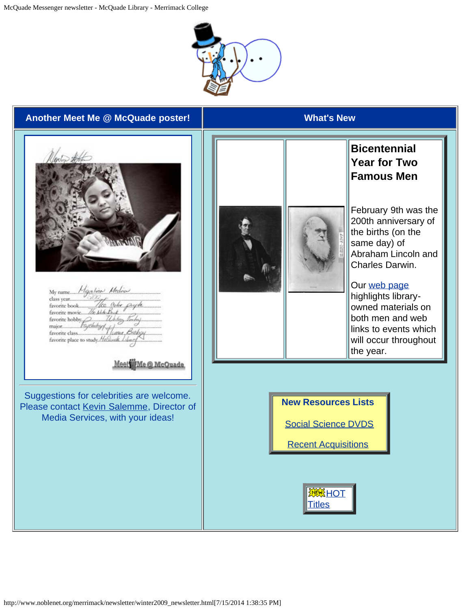



http://www.noblenet.org/merrimack/newsletter/winter2009\_newsletter.html[7/15/2014 1:38:35 PM]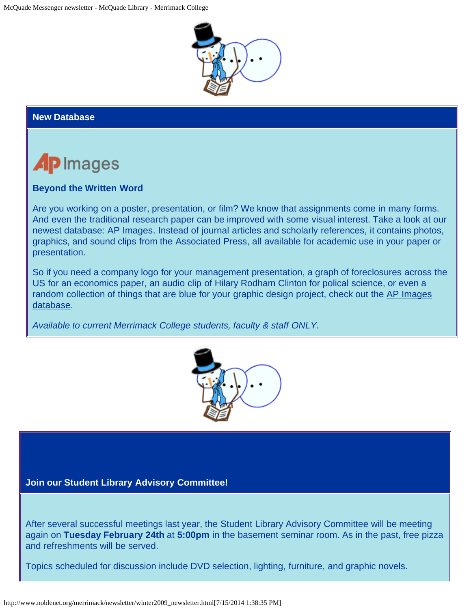

## **New Database**



## **Beyond the Written Word**

Are you working on a poster, presentation, or film? We know that assignments come in many forms. And even the traditional research paper can be improved with some visual interest. Take a look at our newest database: [AP Images](http://proxy3.noblenet.org/login?url=http://apimages.ap.org/unsecured/logip.aspx). Instead of journal articles and scholarly references, it contains photos, graphics, and sound clips from the Associated Press, all available for academic use in your paper or presentation.

So if you need a company logo for your management presentation, a graph of foreclosures across the US for an economics paper, an audio clip of Hilary Rodham Clinton for polical science, or even a random collection of things that are blue for your graphic design project, check out the [AP Images](http://proxy3.noblenet.org/login?url=http://apimages.ap.org/unsecured/logip.aspx) [database.](http://proxy3.noblenet.org/login?url=http://apimages.ap.org/unsecured/logip.aspx)

*Available to current Merrimack College students, faculty & staff ONLY.*



#### **Join our Student Library Advisory Committee!**

After several successful meetings last year, the Student Library Advisory Committee will be meeting again on **Tuesday February 24th** at **5:00pm** in the basement seminar room. As in the past, free pizza and refreshments will be served.

Topics scheduled for discussion include DVD selection, lighting, furniture, and graphic novels.